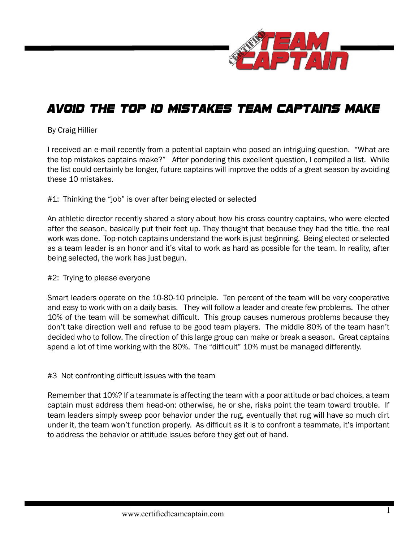

# Avoid the Top 10 Mistakes Team Captains Make

### By Craig Hillier

I received an e-mail recently from a potential captain who posed an intriguing question. "What are the top mistakes captains make?" After pondering this excellent question, I compiled a list. While the list could certainly be longer, future captains will improve the odds of a great season by avoiding these 10 mistakes.

## #1: Thinking the "job" is over after being elected or selected

An athletic director recently shared a story about how his cross country captains, who were elected after the season, basically put their feet up. They thought that because they had the title, the real work was done. Top-notch captains understand the work is just beginning. Being elected or selected as a team leader is an honor and it's vital to work as hard as possible for the team. In reality, after being selected, the work has just begun.

#### #2: Trying to please everyone

Smart leaders operate on the 10-80-10 principle. Ten percent of the team will be very cooperative and easy to work with on a daily basis. They will follow a leader and create few problems. The other 10% of the team will be somewhat difficult. This group causes numerous problems because they don't take direction well and refuse to be good team players. The middle 80% of the team hasn't decided who to follow. The direction of this large group can make or break a season. Great captains spend a lot of time working with the 80%. The "difficult" 10% must be managed differently.

#### #3 Not confronting difficult issues with the team

Remember that 10%? If a teammate is affecting the team with a poor attitude or bad choices, a team captain must address them head-on: otherwise, he or she, risks point the team toward trouble. If team leaders simply sweep poor behavior under the rug, eventually that rug will have so much dirt under it, the team won't function properly. As difficult as it is to confront a teammate, it's important to address the behavior or attitude issues before they get out of hand.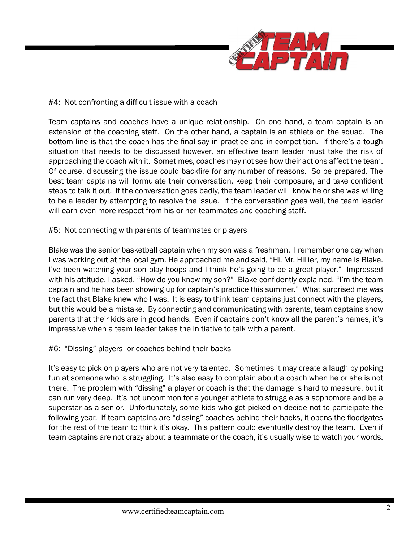

## #4: Not confronting a difficult issue with a coach

Team captains and coaches have a unique relationship. On one hand, a team captain is an extension of the coaching staff. On the other hand, a captain is an athlete on the squad. The bottom line is that the coach has the final say in practice and in competition. If there's a tough situation that needs to be discussed however, an effective team leader must take the risk of approaching the coach with it. Sometimes, coaches may not see how their actions affect the team. Of course, discussing the issue could backfire for any number of reasons. So be prepared. The best team captains will formulate their conversation, keep their composure, and take confident steps to talk it out. If the conversation goes badly, the team leader will know he or she was willing to be a leader by attempting to resolve the issue. If the conversation goes well, the team leader will earn even more respect from his or her teammates and coaching staff.

## #5: Not connecting with parents of teammates or players

Blake was the senior basketball captain when my son was a freshman. I remember one day when I was working out at the local gym. He approached me and said, "Hi, Mr. Hillier, my name is Blake. I've been watching your son play hoops and I think he's going to be a great player." Impressed with his attitude, I asked, "How do you know my son?" Blake confidently explained, "I'm the team captain and he has been showing up for captain's practice this summer." What surprised me was the fact that Blake knew who I was. It is easy to think team captains just connect with the players, but this would be a mistake. By connecting and communicating with parents, team captains show parents that their kids are in good hands. Even if captains don't know all the parent's names, it's impressive when a team leader takes the initiative to talk with a parent.

#### #6: "Dissing" players or coaches behind their backs

It's easy to pick on players who are not very talented. Sometimes it may create a laugh by poking fun at someone who is struggling. It's also easy to complain about a coach when he or she is not there. The problem with "dissing" a player or coach is that the damage is hard to measure, but it can run very deep. It's not uncommon for a younger athlete to struggle as a sophomore and be a superstar as a senior. Unfortunately, some kids who get picked on decide not to participate the following year. If team captains are "dissing" coaches behind their backs, it opens the floodgates for the rest of the team to think it's okay. This pattern could eventually destroy the team. Even if team captains are not crazy about a teammate or the coach, it's usually wise to watch your words.